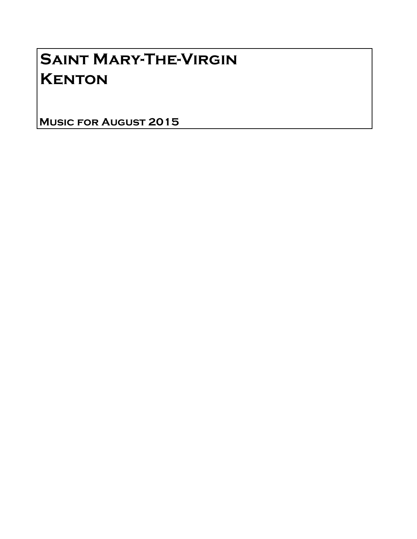# Saint Mary-The-Virgin **KENTON**

Music for August 2015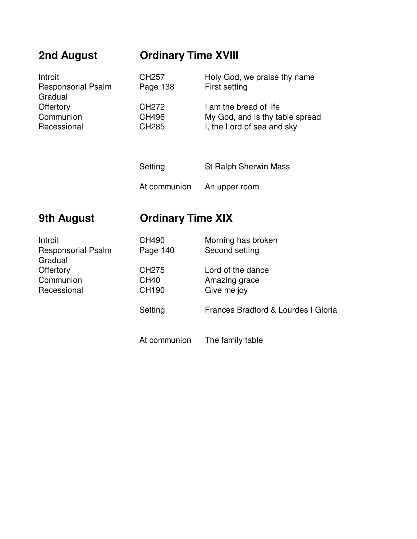## **2nd August Ordinary Time XVIII**

| Introit<br><b>Responsorial Psalm</b><br>Gradual | CH <sub>257</sub><br>Page 138 | Holy God, we praise thy name<br>First setting             |
|-------------------------------------------------|-------------------------------|-----------------------------------------------------------|
| Offertory<br>Communion                          | CH <sub>272</sub><br>CH496    | I am the bread of life<br>My God, and is thy table spread |
| Recessional                                     | <b>CH285</b>                  | I, the Lord of sea and sky                                |
|                                                 |                               |                                                           |

Setting St Ralph Sherwin Mass

At communion An upper room

At communion The family table

### **9th August Crdinary Time XIX**

Introit CH490 Morning has broken Responsorial Psalm F Gradual Offertory CH275 Lord of the dance of the dance of the dance of the dance of the dance of the dance of the dance Communion ( Recessional Give me is the control of the control of the control of the control of the control of the control o

| Page 140               | Second setting                                    |
|------------------------|---------------------------------------------------|
| CH275<br>CH40<br>CH190 | Lord of the dance<br>Amazing grace<br>Give me joy |
| Setting                | Frances Bradford & Lourdes I Gloria               |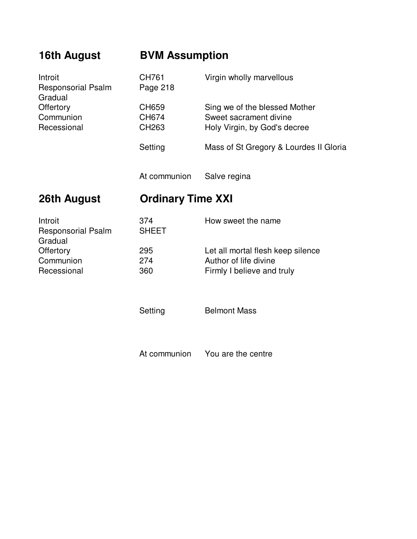| 16th August                                     | <b>BVM Assumption</b>    |                                                                                          |
|-------------------------------------------------|--------------------------|------------------------------------------------------------------------------------------|
| Introit<br><b>Responsorial Psalm</b><br>Gradual | CH761<br>Page 218        | Virgin wholly marvellous                                                                 |
| Offertory<br>Communion<br>Recessional           | CH659<br>CH674<br>CH263  | Sing we of the blessed Mother<br>Sweet sacrament divine<br>Holy Virgin, by God's decree  |
|                                                 | Setting                  | Mass of St Gregory & Lourdes II Gloria                                                   |
|                                                 | At communion             | Salve regina                                                                             |
| 26th August                                     | <b>Ordinary Time XXI</b> |                                                                                          |
| Introit<br>Responsorial Psalm<br>Gradual        | 374<br><b>SHEET</b>      | How sweet the name                                                                       |
| Offertory<br>Communion<br>Recessional           | 295<br>274<br>360        | Let all mortal flesh keep silence<br>Author of life divine<br>Firmly I believe and truly |
|                                                 | Setting                  | <b>Belmont Mass</b>                                                                      |
|                                                 | At communion             | You are the centre                                                                       |